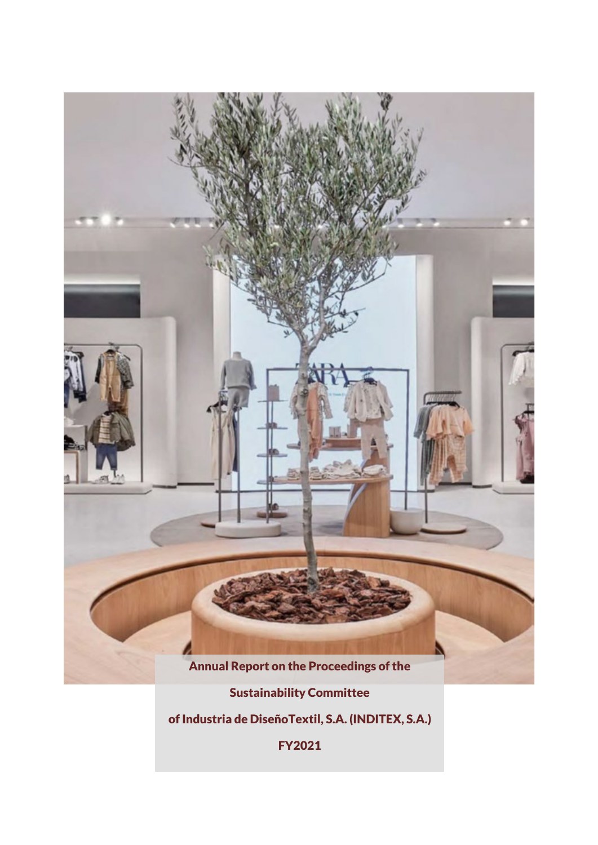

Sustainability Committee

of Industria de DiseñoTextil, S.A. (INDITEX, S.A.)

FY2021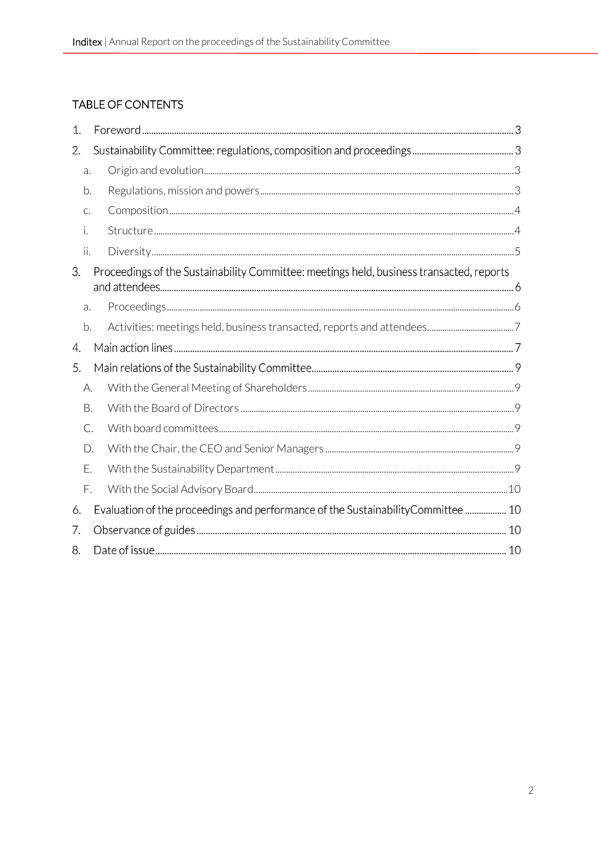# TABLE OF CONTENTS

| 1.  |    |                                                                                          |  |  |  |
|-----|----|------------------------------------------------------------------------------------------|--|--|--|
| 2.  |    |                                                                                          |  |  |  |
| a.  |    |                                                                                          |  |  |  |
| b.  |    |                                                                                          |  |  |  |
| C.  |    |                                                                                          |  |  |  |
| i.  |    |                                                                                          |  |  |  |
| ii. |    |                                                                                          |  |  |  |
| 3.  |    | Proceedings of the Sustainability Committee: meetings held, business transacted, reports |  |  |  |
| a.  |    |                                                                                          |  |  |  |
| b.  |    |                                                                                          |  |  |  |
| 4.  |    |                                                                                          |  |  |  |
| 5.  |    |                                                                                          |  |  |  |
| А.  |    |                                                                                          |  |  |  |
| В.  |    |                                                                                          |  |  |  |
|     | C. |                                                                                          |  |  |  |
|     | D. |                                                                                          |  |  |  |
| Ε.  |    |                                                                                          |  |  |  |
| F.  |    |                                                                                          |  |  |  |
| 6.  |    | Evaluation of the proceedings and performance of the SustainabilityCommittee  10         |  |  |  |
| 7.  |    |                                                                                          |  |  |  |
| 8.  |    |                                                                                          |  |  |  |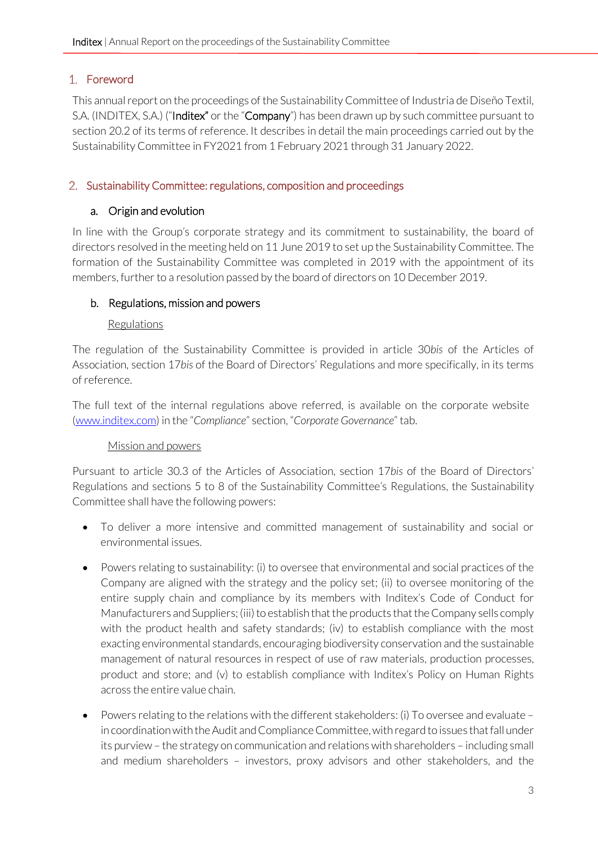# Foreword

This annual report on the proceedings of the Sustainability Committee of Industria de Diseño Textil, S.A. (INDITEX, S.A.) ("Inditex" or the "Company") has been drawn up by such committee pursuant to section 20.2 of its terms of reference. It describes in detail the main proceedings carried out by the Sustainability Committee in FY2021 from 1 February 2021 through 31 January 2022.

# 2. Sustainability Committee: regulations, composition and proceedings

# <span id="page-2-0"></span>a. Origin and evolution

In line with the Group's corporate strategy and its commitment to sustainability, the board of directors resolved in the meeting held on 11 June 2019 to set up the Sustainability Committee. The formation of the Sustainability Committee was completed in 2019 with the appointment of its members, further to a resolution passed by the board of directors on 10 December 2019.

# <span id="page-2-1"></span>b. Regulations, mission and powers

#### Regulations

The regulation of the Sustainability Committee is provided in article 30*bis* of the Articles of Association, section 17*bis* of the Board of Directors' Regulations and more specifically, in its terms of reference.

The full text of the internal regulations above referred, is available on the corporate website [\(www.inditex.com\)](http://www.inditex.com/) in the "*Compliance*" section, "*Corporate Governance*" tab.

# Mission and powers

Pursuant to article 30.3 of the Articles of Association, section 17*bis* of the Board of Directors' Regulations and sections 5 to 8 of the Sustainability Committee's Regulations, the Sustainability Committee shall have the following powers:

- To deliver a more intensive and committed management of sustainability and social or environmental issues.
- Powers relating to sustainability: (i) to oversee that environmental and social practices of the Company are aligned with the strategy and the policy set; (ii) to oversee monitoring of the entire supply chain and compliance by its members with Inditex's Code of Conduct for Manufacturers and Suppliers; (iii) to establish that the products that the Company sells comply with the product health and safety standards; (iv) to establish compliance with the most exacting environmental standards, encouraging biodiversity conservation and the sustainable management of natural resources in respect of use of raw materials, production processes, product and store; and (v) to establish compliance with Inditex's Policy on Human Rights across the entire value chain.
- Powers relating to the relations with the different stakeholders: (i) To oversee and evaluate in coordination with the Audit and Compliance Committee, with regard to issues that fall under its purview – the strategy on communication and relations with shareholders – including small and medium shareholders – investors, proxy advisors and other stakeholders, and the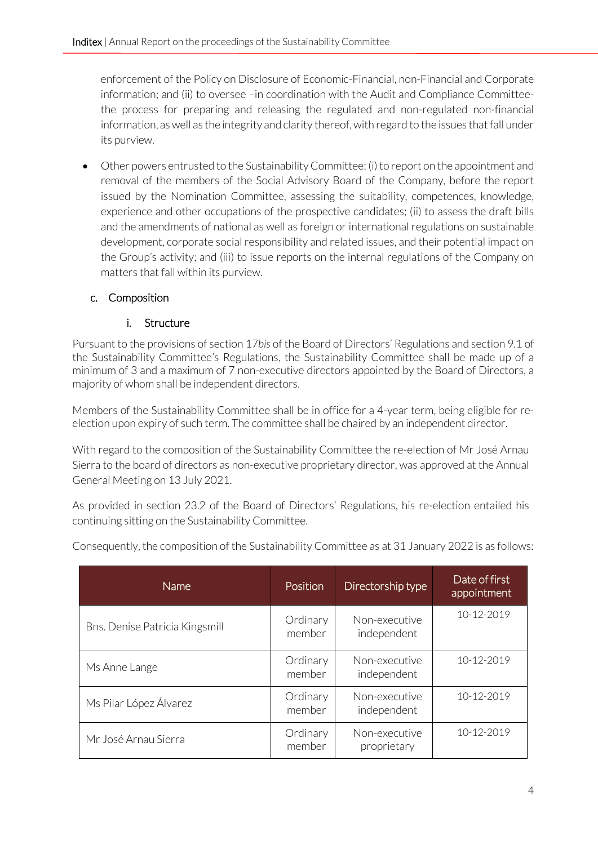enforcement of the Policy on Disclosure of Economic-Financial, non-Financial and Corporate information; and (ii) to oversee –in coordination with the Audit and Compliance Committeethe process for preparing and releasing the regulated and non-regulated non-financial information, as well as the integrity and clarity thereof, with regard to the issues that fall under its purview.

• Other powers entrusted to the Sustainability Committee: (i) to report on the appointment and removal of the members of the Social Advisory Board of the Company, before the report issued by the Nomination Committee, assessing the suitability, competences, knowledge, experience and other occupations of the prospective candidates; (ii) to assess the draft bills and the amendments of national as well as foreign or international regulations on sustainable development, corporate social responsibility and related issues, and their potential impact on the Group's activity; and (iii) to issue reports on the internal regulations of the Company on matters that fall within its purview.

# <span id="page-3-0"></span>c. Composition

# <span id="page-3-1"></span>i. Structure

Pursuant to the provisions of section 17*bis* of the Board of Directors' Regulations and section 9.1 of the Sustainability Committee's Regulations, the Sustainability Committee shall be made up of a minimum of 3 and a maximum of 7 non-executive directors appointed by the Board of Directors, a majority of whom shall be independent directors.

Members of the Sustainability Committee shall be in office for a 4-year term, being eligible for reelection upon expiry of such term. The committee shall be chaired by an independent director.

With regard to the composition of the Sustainability Committee the re-election of Mr José Arnau Sierra to the board of directors as non-executive proprietary director, was approved at the Annual General Meeting on 13 July 2021.

As provided in section 23.2 of the Board of Directors' Regulations, his re-election entailed his continuing sitting on the Sustainability Committee.

| Name                           | Position           | Directorship type            | Date of first<br>appointment |
|--------------------------------|--------------------|------------------------------|------------------------------|
| Bns. Denise Patricia Kingsmill | Ordinary<br>member | Non-executive<br>independent | 10-12-2019                   |
| Ms Anne Lange                  | Ordinary<br>member | Non-executive<br>independent | 10-12-2019                   |
| Ms Pilar López Álvarez         | Ordinary<br>member | Non-executive<br>independent | 10-12-2019                   |
| Mr José Arnau Sierra           | Ordinary<br>member | Non-executive<br>proprietary | 10-12-2019                   |

Consequently, the composition of the Sustainability Committee as at 31 January 2022 is as follows: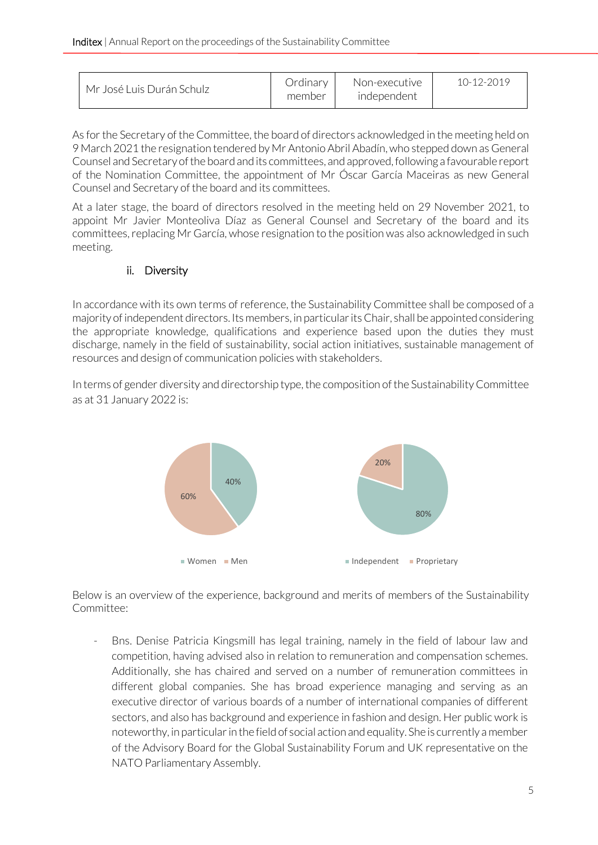| member |  | Mr José Luis Durán Schulz | Ordinary | Non-executive<br>independent | $10 - 12 - 2019$ |
|--------|--|---------------------------|----------|------------------------------|------------------|
|--------|--|---------------------------|----------|------------------------------|------------------|

As for the Secretary of the Committee, the board of directors acknowledged in the meeting held on 9 March 2021 the resignation tendered by Mr Antonio Abril Abadín, who stepped down as General Counsel and Secretary of the board and its committees, and approved, following a favourable report of the Nomination Committee, the appointment of Mr Óscar García Maceiras as new General Counsel and Secretary of the board and its committees.

At a later stage, the board of directors resolved in the meeting held on 29 November 2021, to appoint Mr Javier Monteoliva Díaz as General Counsel and Secretary of the board and its committees, replacing Mr García, whose resignation to the position was also acknowledged in such meeting.

# <span id="page-4-0"></span>ii. Diversity

In accordance with its own terms of reference, the Sustainability Committee shall be composed of a majority of independent directors. Its members, in particular its Chair, shall be appointed considering the appropriate knowledge, qualifications and experience based upon the duties they must discharge, namely in the field of sustainability, social action initiatives, sustainable management of resources and design of communication policies with stakeholders.

In terms of gender diversity and directorship type, the composition of the Sustainability Committee as at 31 January 2022 is:



Below is an overview of the experience, background and merits of members of the Sustainability Committee:

Bns. Denise Patricia Kingsmill has legal training, namely in the field of labour law and competition, having advised also in relation to remuneration and compensation schemes. Additionally, she has chaired and served on a number of remuneration committees in different global companies. She has broad experience managing and serving as an executive director of various boards of a number of international companies of different sectors, and also has background and experience in fashion and design. Her public work is noteworthy, in particular in the field of social action and equality. She is currently a member of the Advisory Board for the Global Sustainability Forum and UK representative on the NATO Parliamentary Assembly.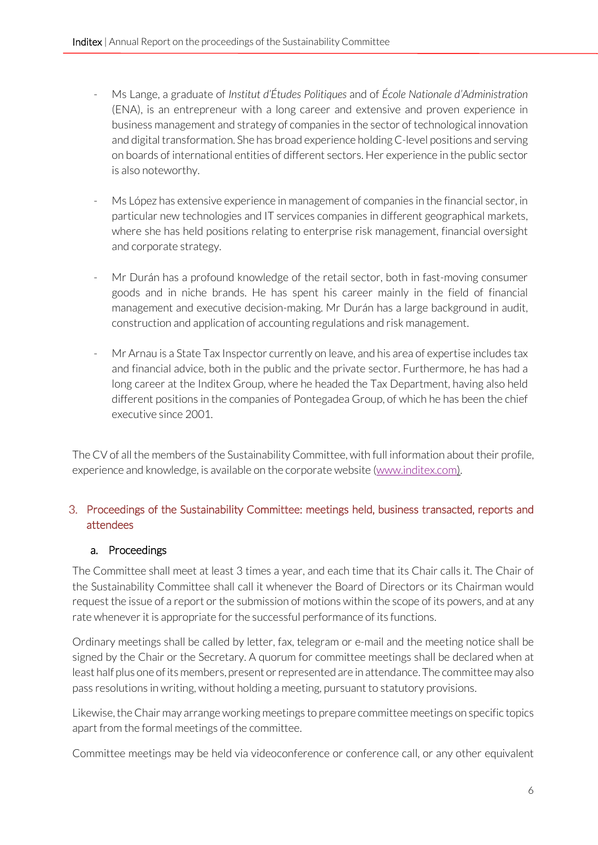- Ms Lange, a graduate of *Institut d'Études Politiques* and of *École Nationale d'Administration* (ENA), is an entrepreneur with a long career and extensive and proven experience in business management and strategy of companies in the sector of technological innovation and digital transformation. She has broad experience holding C-level positions and serving on boards of international entities of different sectors. Her experience in the public sector is also noteworthy.
- Ms López has extensive experience in management of companies in the financial sector, in particular new technologies and IT services companies in different geographical markets, where she has held positions relating to enterprise risk management, financial oversight and corporate strategy.
- Mr Durán has a profound knowledge of the retail sector, both in fast-moving consumer goods and in niche brands. He has spent his career mainly in the field of financial management and executive decision-making. Mr Durán has a large background in audit, construction and application of accounting regulations and risk management.
- Mr Arnau is a State Tax Inspector currently on leave, and his area of expertise includes tax and financial advice, both in the public and the private sector. Furthermore, he has had a long career at the Inditex Group, where he headed the Tax Department, having also held different positions in the companies of Pontegadea Group, of which he has been the chief executive since 2001.

The CV of all the members of the Sustainability Committee, with full information about their profile, experience and knowledge, is available on the corporate website [\(www.inditex.com\)](http://www.inditex.com/).

# 3. Proceedings of the Sustainability Committee: meetings held, business transacted, reports and attendees

# <span id="page-5-0"></span>a. Proceedings

The Committee shall meet at least 3 times a year, and each time that its Chair calls it. The Chair of the Sustainability Committee shall call it whenever the Board of Directors or its Chairman would request the issue of a report or the submission of motions within the scope of its powers, and at any rate whenever it is appropriate for the successful performance of its functions.

Ordinary meetings shall be called by letter, fax, telegram or e-mail and the meeting notice shall be signed by the Chair or the Secretary. A quorum for committee meetings shall be declared when at least half plus one of its members, present or represented are in attendance. The committee may also pass resolutions in writing, without holding a meeting, pursuant to statutory provisions.

Likewise, the Chair may arrange working meetings to prepare committee meetings on specific topics apart from the formal meetings of the committee.

Committee meetings may be held via videoconference or conference call, or any other equivalent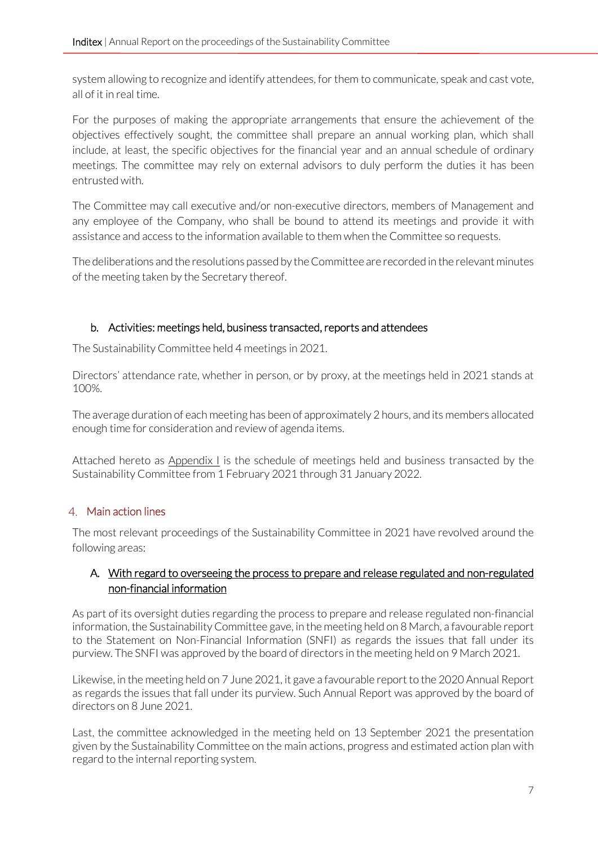system allowing to recognize and identify attendees, for them to communicate, speak and cast vote, all of it in real time.

For the purposes of making the appropriate arrangements that ensure the achievement of the objectives effectively sought, the committee shall prepare an annual working plan, which shall include, at least, the specific objectives for the financial year and an annual schedule of ordinary meetings. The committee may rely on external advisors to duly perform the duties it has been entrusted with.

The Committee may call executive and/or non-executive directors, members of Management and any employee of the Company, who shall be bound to attend its meetings and provide it with assistance and access to the information available to them when the Committee so requests.

The deliberations and the resolutions passed by the Committee are recorded in the relevant minutes of the meeting taken by the Secretary thereof.

# <span id="page-6-0"></span>b. Activities: meetings held, business transacted, reports and attendees

The Sustainability Committee held 4 meetings in 2021.

Directors' attendance rate, whether in person, or by proxy, at the meetings held in 2021 stands at 100%.

The average duration of each meeting has been of approximately 2 hours, and its members allocated enough time for consideration and review of agenda items.

Attached hereto as Appendix I is the schedule of meetings held and business transacted by the Sustainability Committee from 1 February 2021 through 31 January 2022.

# 4. Main action lines

The most relevant proceedings of the Sustainability Committee in 2021 have revolved around the following areas:

#### A. With regard to overseeing the process to prepare and release regulated and non-regulated non-financial information

As part of its oversight duties regarding the process to prepare and release regulated non-financial information, the Sustainability Committee gave, in the meeting held on 8 March, a favourable report to the Statement on Non-Financial Information (SNFI) as regards the issues that fall under its purview. The SNFI was approved by the board of directors in the meeting held on 9 March 2021.

Likewise, in the meeting held on 7 June 2021, it gave a favourable report to the 2020 Annual Report as regards the issues that fall under its purview. Such Annual Report was approved by the board of directors on 8 June 2021.

Last, the committee acknowledged in the meeting held on 13 September 2021 the presentation given by the Sustainability Committee on the main actions, progress and estimated action plan with regard to the internal reporting system.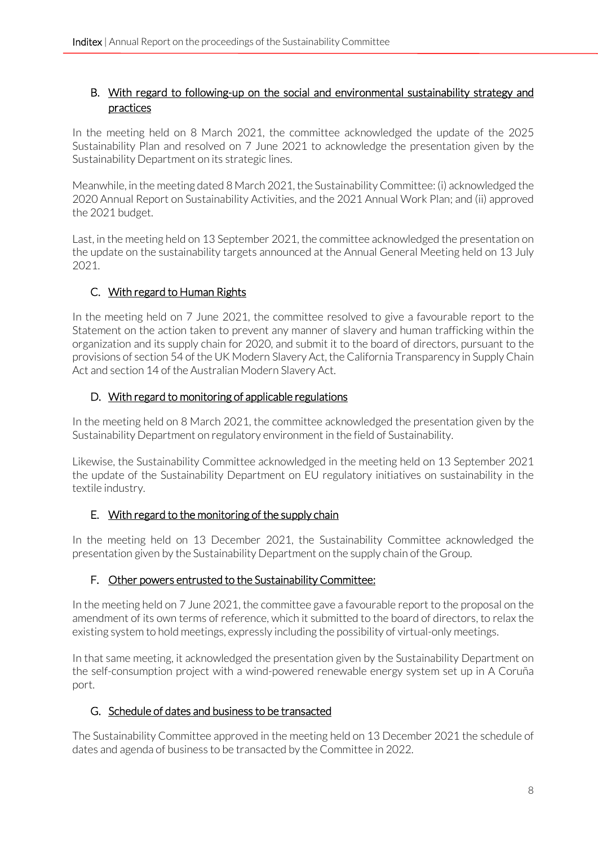### B. With regard to following-up on the social and environmental sustainability strategy and practices

In the meeting held on 8 March 2021, the committee acknowledged the update of the 2025 Sustainability Plan and resolved on 7 June 2021 to acknowledge the presentation given by the Sustainability Department on its strategic lines.

Meanwhile, in the meeting dated 8 March 2021, the Sustainability Committee: (i) acknowledged the 2020 Annual Report on Sustainability Activities, and the 2021 Annual Work Plan; and (ii) approved the 2021 budget.

Last, in the meeting held on 13 September 2021, the committee acknowledged the presentation on the update on the sustainability targets announced at the Annual General Meeting held on 13 July 2021.

# C. With regard to Human Rights

In the meeting held on 7 June 2021, the committee resolved to give a favourable report to the Statement on the action taken to prevent any manner of slavery and human trafficking within the organization and its supply chain for 2020, and submit it to the board of directors, pursuant to the provisions of section 54 of the UK Modern Slavery Act, the California Transparency in Supply Chain Act and section 14 of the Australian Modern Slavery Act.

#### D. With regard to monitoring of applicable regulations

In the meeting held on 8 March 2021, the committee acknowledged the presentation given by the Sustainability Department on regulatory environment in the field of Sustainability.

Likewise, the Sustainability Committee acknowledged in the meeting held on 13 September 2021 the update of the Sustainability Department on EU regulatory initiatives on sustainability in the textile industry.

# E. With regard to the monitoring of the supply chain

In the meeting held on 13 December 2021, the Sustainability Committee acknowledged the presentation given by the Sustainability Department on the supply chain of the Group.

# F. Other powers entrusted to the Sustainability Committee:

In the meeting held on 7 June 2021, the committee gave a favourable report to the proposal on the amendment of its own terms of reference, which it submitted to the board of directors, to relax the existing system to hold meetings, expressly including the possibility of virtual-only meetings.

In that same meeting, it acknowledged the presentation given by the Sustainability Department on the self-consumption project with a wind-powered renewable energy system set up in A Coruña port.

# G. Schedule of dates and business to be transacted

The Sustainability Committee approved in the meeting held on 13 December 2021 the schedule of dates and agenda of business to be transacted by the Committee in 2022.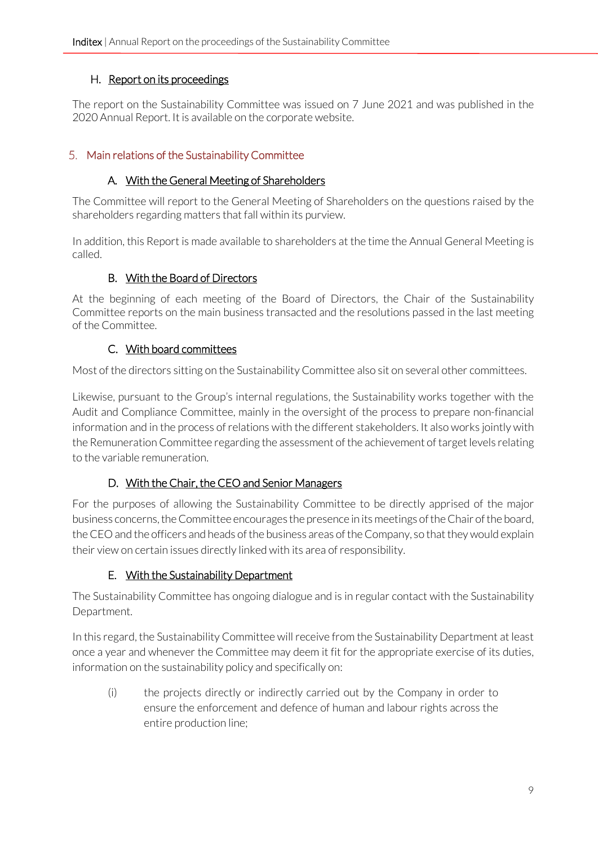# H. Report on its proceedings

The report on the Sustainability Committee was issued on 7 June 2021 and was published in the 2020 Annual Report. It is available on the corporate website.

# <span id="page-8-0"></span>Main relations of the Sustainability Committee

# A. With the General Meeting of Shareholders

The Committee will report to the General Meeting of Shareholders on the questions raised by the shareholders regarding matters that fall within its purview.

<span id="page-8-1"></span>In addition, this Report is made available to shareholders at the time the Annual General Meeting is called.

# B. With the Board of Directors

At the beginning of each meeting of the Board of Directors, the Chair of the Sustainability Committee reports on the main business transacted and the resolutions passed in the last meeting of the Committee.

# C. With board committees

<span id="page-8-2"></span>Most of the directors sitting on the Sustainability Committee also sit on several other committees.

Likewise, pursuant to the Group's internal regulations, the Sustainability works together with the Audit and Compliance Committee, mainly in the oversight of the process to prepare non-financial information and in the process of relations with the different stakeholders. It also works jointly with the Remuneration Committee regarding the assessment of the achievement of target levels relating to the variable remuneration.

# D. With the Chair, the CEO and Senior Managers

<span id="page-8-3"></span>For the purposes of allowing the Sustainability Committee to be directly apprised of the major business concerns, the Committee encourages the presence in its meetings of the Chair of the board, the CEO and the officers and heads of the business areas of the Company, so that they would explain their view on certain issues directly linked with its area of responsibility.

# E. With the Sustainability Department

<span id="page-8-4"></span>The Sustainability Committee has ongoing dialogue and is in regular contact with the Sustainability Department.

In this regard, the Sustainability Committee will receive from the Sustainability Department at least once a year and whenever the Committee may deem it fit for the appropriate exercise of its duties, information on the sustainability policy and specifically on:

(i) the projects directly or indirectly carried out by the Company in order to ensure the enforcement and defence of human and labour rights across the entire production line;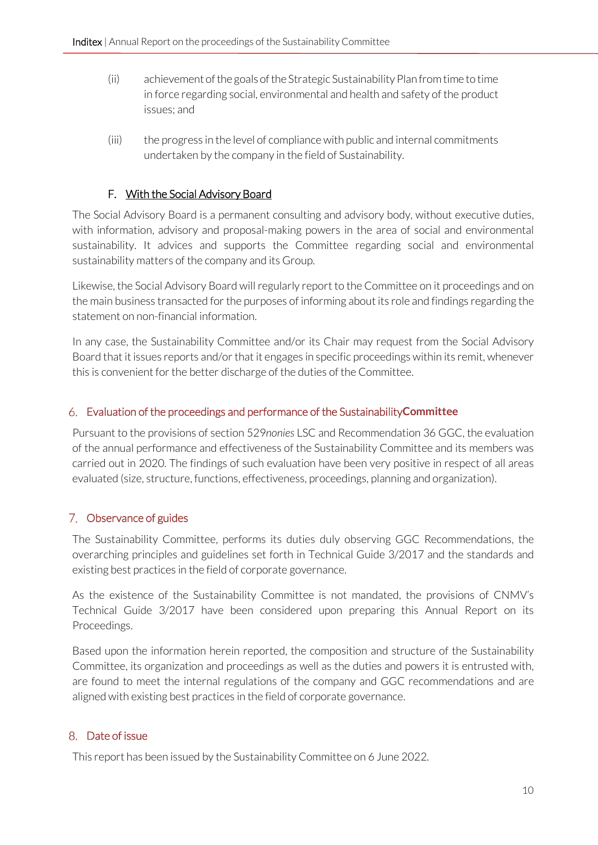- (ii) achievement of the goals of the Strategic Sustainability Plan from time to time in force regarding social, environmental and health and safety of the product issues; and
- (iii) the progress in the level of compliance with public and internal commitments undertaken by the company in the field of Sustainability.

# F. With the Social Advisory Board

<span id="page-9-0"></span>The Social Advisory Board is a permanent consulting and advisory body, without executive duties, with information, advisory and proposal-making powers in the area of social and environmental sustainability. It advices and supports the Committee regarding social and environmental sustainability matters of the company and its Group.

Likewise, the Social Advisory Board will regularly report to the Committee on it proceedings and on the main business transacted for the purposes of informing about its role and findings regarding the statement on non-financial information.

In any case, the Sustainability Committee and/or its Chair may request from the Social Advisory Board that it issues reports and/or that it engages in specific proceedings within its remit, whenever this is convenient for the better discharge of the duties of the Committee.

#### Evaluation of the proceedings and performance of the Sustainability**Committee**

Pursuant to the provisions of section 529*nonies* LSC and Recommendation 36 GGC, the evaluation of the annual performance and effectiveness of the Sustainability Committee and its members was carried out in 2020. The findings of such evaluation have been very positive in respect of all areas evaluated (size, structure, functions, effectiveness, proceedings, planning and organization).

# 7. Observance of guides

The Sustainability Committee, performs its duties duly observing GGC Recommendations, the overarching principles and guidelines set forth in Technical Guide 3/2017 and the standards and existing best practices in the field of corporate governance.

As the existence of the Sustainability Committee is not mandated, the provisions of CNMV's Technical Guide 3/2017 have been considered upon preparing this Annual Report on its Proceedings.

Based upon the information herein reported, the composition and structure of the Sustainability Committee, its organization and proceedings as well as the duties and powers it is entrusted with, are found to meet the internal regulations of the company and GGC recommendations and are aligned with existing best practices in the field of corporate governance.

# 8. Date of issue

This report has been issued by the Sustainability Committee on 6 June 2022.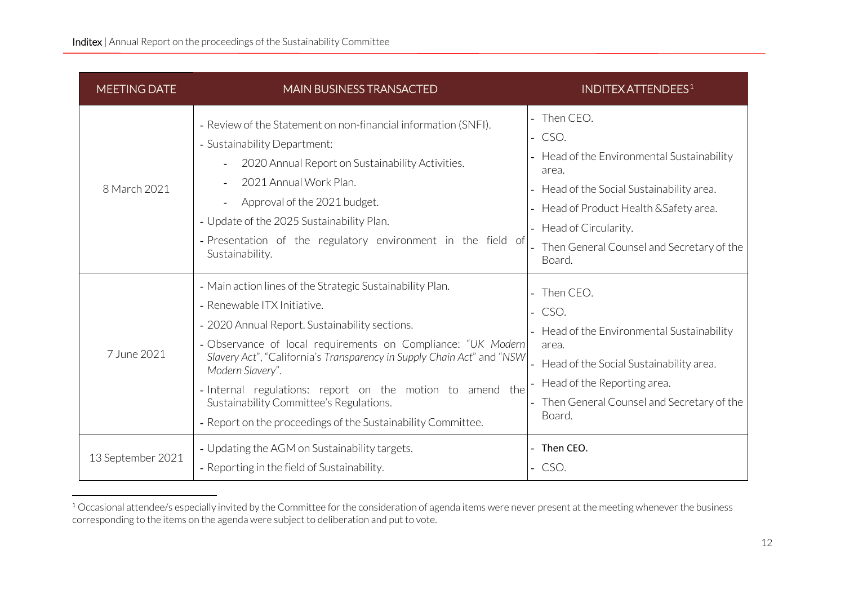| <b>MEETING DATE</b> | <b>MAIN BUSINESS TRANSACTED</b>                                                                                                                                                                                                                                                                                                                                                                                                                                                  | <b>INDITEX ATTENDEES1</b>                                                                                                                                                                                                                          |
|---------------------|----------------------------------------------------------------------------------------------------------------------------------------------------------------------------------------------------------------------------------------------------------------------------------------------------------------------------------------------------------------------------------------------------------------------------------------------------------------------------------|----------------------------------------------------------------------------------------------------------------------------------------------------------------------------------------------------------------------------------------------------|
| 8 March 2021        | - Review of the Statement on non-financial information (SNFI).<br>- Sustainability Department:<br>2020 Annual Report on Sustainability Activities.<br>2021 Annual Work Plan.<br>Approval of the 2021 budget.<br>- Update of the 2025 Sustainability Plan.<br>- Presentation of the regulatory environment in the field of<br>Sustainability.                                                                                                                                     | - Then CEO.<br>$-CSO.$<br>Head of the Environmental Sustainability<br>area.<br>Head of the Social Sustainability area.<br>Head of Product Health & Safety area.<br>- Head of Circularity.<br>- Then General Counsel and Secretary of the<br>Board. |
| 7 June 2021         | - Main action lines of the Strategic Sustainability Plan.<br>- Renewable ITX Initiative.<br>- 2020 Annual Report. Sustainability sections.<br>- Observance of local requirements on Compliance: "UK Modern<br>Slavery Act", "California's Transparency in Supply Chain Act" and "NSW<br>Modern Slavery".<br>- Internal regulations: report on the motion to amend the<br>Sustainability Committee's Regulations.<br>- Report on the proceedings of the Sustainability Committee. | Then CEO.<br>$-$ CSO.<br>- Head of the Environmental Sustainability<br>area.<br>Head of the Social Sustainability area.<br>Head of the Reporting area.<br>Then General Counsel and Secretary of the<br>Board.                                      |
| 13 September 2021   | - Updating the AGM on Sustainability targets.<br>- Reporting in the field of Sustainability.                                                                                                                                                                                                                                                                                                                                                                                     | - Then CEO.<br>$-CSO.$                                                                                                                                                                                                                             |

<sup>&</sup>lt;sup>1</sup> Occasional attendee/s especially invited by the Committee for the consideration of agenda items were never present at the meeting whenever the business corresponding to the items on the agenda were subject to deliberation and put to vote.